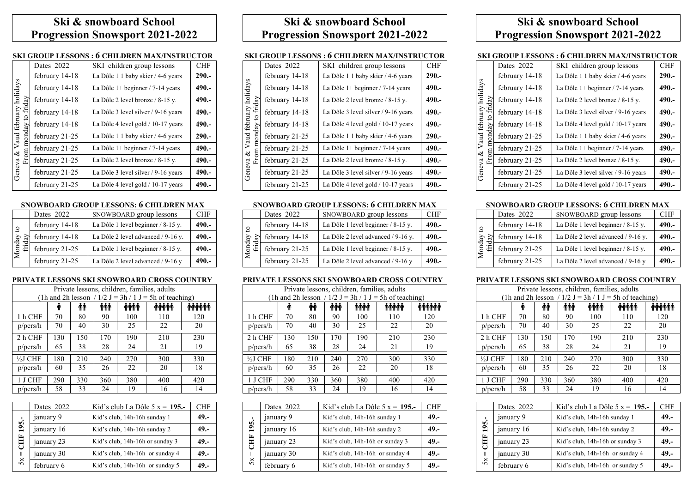# **Ski & snowboard School Progression Snowsport 2021-2022**

## **SKI GROUP LESSONS : 6 CHILDREN MAX/INSTRUCTOR**

|                                 | Dates 2022     | SKI children group lessons          | <b>CHF</b> |
|---------------------------------|----------------|-------------------------------------|------------|
|                                 | february 14-18 | La Dôle 1 1 baby skier / 4-6 years  | $290 -$    |
|                                 | february 14-18 | La Dôle $1+$ beginner / 7-14 years  | $490 -$    |
| friday                          | february 14-18 | La Dôle 2 level bronze / 8-15 y.    | $490 -$    |
|                                 | february 14-18 | La Dôle 3 level silver / 9-16 years | $490 -$    |
| Geneva & Vaud february holidays | february 14-18 | La Dôle 4 level gold / 10-17 years  | $490 -$    |
|                                 | february 21-25 | La Dôle 1 1 baby skier / 4-6 years  | $290 -$    |
|                                 | february 21-25 | La Dôle $1+$ beginner / 7-14 years  | $490 -$    |
| È                               | february 21-25 | La Dôle 2 level bronze / 8-15 y.    | $490 -$    |
|                                 | february 21-25 | La Dôle 3 level silver / 9-16 years | $490 -$    |
|                                 | february 21-25 | La Dôle 4 level gold / 10-17 years  | $490 -$    |

### **SNOWBOARD GROUP LESSONS: 6 CHILDREN MAX**

|              | Dates 2022     | SNOWBOARD group lessons            | CHF     |
|--------------|----------------|------------------------------------|---------|
| $\mathbf{c}$ | february 14-18 | La Dôle 1 level beginner / 8-15 y. | 490.-   |
|              | february 14-18 | La Dôle 2 level advanced / 9-16 y. | $490 -$ |
| Monday       | february 21-25 | La Dôle 1 level beginner / 8-15 y. | 490.-   |
|              | february 21-25 | La Dôle 2 level advanced / 9-16 y  | 490.-   |

#### **PRIVATE LESSONS SKI SNOWBOARD CROSS COUNTRY**

|          | Private lessons, children, families, adults |     |            |      |                                                          |        |
|----------|---------------------------------------------|-----|------------|------|----------------------------------------------------------|--------|
|          |                                             |     |            |      | (1h and 2h lesson / $1/2$ J = 3h / 1 J = 5h of teaching) |        |
|          | Т                                           | Ϋ́  | <b>iii</b> | titt | <b>iiiii</b>                                             | tititi |
| 1 h CHF  | 70                                          | 80  | 90         | 100  | 110                                                      | 120    |
| p/pers/h | 70                                          | 40  | 30         | 25   | 22                                                       | 20     |
| 2 h CHF  | 130                                         | 150 | 170        | 190  | 210                                                      | 230    |
|          |                                             |     |            |      |                                                          |        |
| p/pers/h | 65                                          | 38  | 28         | 24   | 21                                                       | 19     |
| 1/2J CHF | 180                                         | 210 | 240        | 270  | 300                                                      | 330    |
| p/pers/h | 60                                          | 35  | 26         | 22   | 20                                                       | 18     |
| 1 J CHF  | 290                                         | 330 | 360        | 380  | 400                                                      | 420    |
| p/pers/h | 58                                          | 33  | 24         | 19   | 16                                                       | 14     |

|              | Dates 2022 | Kid's club La Dôle $5 x = 195$ . | CHF     |
|--------------|------------|----------------------------------|---------|
|              | january 9  | Kid's club, 14h-16h sunday 1     | $49. -$ |
| 195.-        | january 16 | Kid's club, 14h-16h sunday 2     | $49. -$ |
| Ě            | january 23 | Kid's club, 14h-16h or sunday 3  | $49. -$ |
| $\mathbb{I}$ | january 30 | Kid's club, 14h-16h or sunday 4  | $49. -$ |
| 5x           | february 6 | Kid's club, 14h-16h or sunday 5  | $49. -$ |

# **Ski & snowboard School Progression Snowsport 2021-2022**

### **SKI GROUP LESSONS : 6 CHILDREN MAX/INSTRUCTOR**

|                                                                     | Dates 2022     | SKI children group lessons          | <b>CHF</b> |
|---------------------------------------------------------------------|----------------|-------------------------------------|------------|
| holidays<br>friday<br>february<br>ondav<br>Vaud<br>From<br>Geneva & | february 14-18 | La Dôle 1 1 baby skier / 4-6 years  | $290 -$    |
|                                                                     | february 14-18 | La Dôle $1+$ beginner / 7-14 years  | 490.-      |
|                                                                     | february 14-18 | La Dôle 2 level bronze / 8-15 y.    | $490 -$    |
|                                                                     | february 14-18 | La Dôle 3 level silver / 9-16 years | $490 -$    |
|                                                                     | february 14-18 | La Dôle 4 level gold / 10-17 years  | $490 -$    |
|                                                                     | february 21-25 | La Dôle 1 1 baby skier / 4-6 years  | $290 -$    |
|                                                                     | february 21-25 | La Dôle $1+$ beginner / 7-14 years  | $490 -$    |
|                                                                     | february 21-25 | La Dôle 2 level bronze / 8-15 y.    | $490 -$    |
|                                                                     | february 21-25 | La Dôle 3 level silver / 9-16 years | $490 -$    |
|                                                                     | february 21-25 | La Dôle 4 level gold / 10-17 years  | $490 -$    |

## **SNOWBOARD GROUP LESSONS: 6 CHILDREN MAX**

|                  | Dates 2022     | SNOWBOARD group lessons              | <b>CHF</b> |
|------------------|----------------|--------------------------------------|------------|
| $\mathbf{S}$     | february 14-18 | La Dôle 1 level beginner $/ 8-15$ y. | $490 -$    |
|                  | february 14-18 | La Dôle 2 level advanced / 9-16 y.   | $490 -$    |
| Monday<br>friday | february 21-25 | La Dôle 1 level beginner / 8-15 y.   | 490.-      |
|                  | february 21-25 | La Dôle 2 level advanced / 9-16 y    | $490 -$    |

#### **PRIVATE LESSONS SKI SNOWBOARD CROSS COUNTRY**

| Private lessons, children, families, adults              |     |     |            |      |             |              |
|----------------------------------------------------------|-----|-----|------------|------|-------------|--------------|
| (1h and 2h lesson / $1/2$ J = 3h / 1 J = 5h of teaching) |     |     |            |      |             |              |
|                                                          | T   | Ϋ́  | <b>iii</b> | iiii | <b>iiii</b> | <b>iiiii</b> |
| 1 h CHF                                                  | 70  | 80  | 90         | 100  | 110         | 120          |
| p/pers/h                                                 | 70  | 40  | 30         | 25   | 22          | 20           |
| 2 h CHF                                                  | 130 | 150 | 170        | 190  | 210         | 230          |
| p/pers/h                                                 | 65  | 38  | 28         | 24   | 21          | 19           |
| $\frac{1}{2}$ J CHF                                      | 180 | 210 | 240        | 270  | 300         | 330          |
| p/pers/h                                                 | 60  | 35  | 26         | 22   | 20          | 18           |
| 1 J CHF                                                  | 290 | 330 | 360        | 380  | 400         | 420          |
| p/pers/h                                                 | 58  | 33  | 24         | 19   | 16          | 14           |

|            | Dates 2022 | Kid's club La Dôle $5 x = 195$ . | <b>CHF</b> |
|------------|------------|----------------------------------|------------|
|            | january 9  | Kid's club, 14h-16h sunday 1     | $49. -$    |
| 195.-      | january 16 | Kid's club, 14h-16h sunday 2     | $49. -$    |
| <b>EHD</b> | january 23 | Kid's club, 14h-16h or sunday 3  | $49. -$    |
| Ш          | january 30 | Kid's club, 14h-16h or sunday 4  | $49. -$    |
| 5x         | february 6 | Kid's club, 14h-16h or sunday 5  | $49. -$    |

# **Ski & snowboard School Progression Snowsport 2021-2022**

### **SKI GROUP LESSONS : 6 CHILDREN MAX/INSTRUCTOR**

|                    | Dates 2022     | SKI children group lessons          | <b>CHF</b> |
|--------------------|----------------|-------------------------------------|------------|
| holidays<br>friday | february 14-18 | La Dôle 1 1 baby skier / 4-6 years  | $290 -$    |
|                    | february 14-18 | La Dôle $1+$ beginner / 7-14 years  | $490 -$    |
|                    | february 14-18 | La Dôle 2 level bronze / 8-15 y.    | $490 -$    |
|                    | february 14-18 | La Dôle 3 level silver / 9-16 years | $490 -$    |
| february<br>ay     | february 14-18 | La Dôle 4 level gold / 10-17 years  | $490 -$    |
| ਰ<br>Vaud<br>Ē     | february 21-25 | La Dôle 1 1 baby skier / 4-6 years  | $290 -$    |
| Е                  | february 21-25 | La Dôle 1+ beginner / 7-14 years    | $490 -$    |
| 虛                  | february 21-25 | La Dôle 2 level bronze / 8-15 y.    | $490 -$    |
| Geneva &           | february 21-25 | La Dôle 3 level silver / 9-16 years | $490 -$    |
|                    | february 21-25 | La Dôle 4 level gold / 10-17 years  | $490 -$    |

#### **SNOWBOARD GROUP LESSONS: 6 CHILDREN MAX**

|                | Dates 2022     | SNOWBOARD group lessons            | <b>CHF</b> |
|----------------|----------------|------------------------------------|------------|
| $\overline{c}$ | february 14-18 | La Dôle 1 level beginner / 8-15 y. | $490 -$    |
| $\Omega$       | february 14-18 | La Dôle 2 level advanced / 9-16 y. | $490 -$    |
| Mond<br>frid   | february 21-25 | La Dôle 1 level beginner / 8-15 y. | $490 -$    |
|                | february 21-25 | La Dôle 2 level advanced / 9-16 y  | 490.-      |

#### **PRIVATE LESSONS SKI SNOWBOARD CROSS COUNTRY**

| Private lessons, children, families, adults |     |     |             |      |                                                          |              |
|---------------------------------------------|-----|-----|-------------|------|----------------------------------------------------------|--------------|
|                                             |     |     |             |      | (1h and 2h lesson / $1/2$ J = 3h / 1 J = 5h of teaching) |              |
|                                             | Υ   | ŤΫ  | <b>i</b> ii | titt | ተተተተ                                                     | <b>iiiii</b> |
| 1 h CHF                                     | 70  | 80  | 90          | 100  | 110                                                      | 120          |
| p/pers/h                                    | 70  | 40  | 30          | 25   | 22                                                       | 20           |
| 2 h CHF                                     | 130 | 150 | 170         | 190  | 210                                                      | 230          |
| p/pers/h                                    | 65  | 38  | 28          | 24   | 21                                                       | 19           |
| ½J CHF                                      | 180 | 210 | 240         | 270  | 300                                                      | 330          |
| p/pers/h                                    | 60  | 35  | 26          | 22   | 20                                                       | 18           |
| 1 J CHF                                     | 290 | 330 | 360         | 380  | 400                                                      | 420          |
| p/pers/h                                    | 58  | 33  | 24          | 19   | 16                                                       | 14           |

|             | Dates 2022 | Kid's club La Dôle $5 x = 195$ . | <b>CHF</b> |
|-------------|------------|----------------------------------|------------|
|             | january 9  | Kid's club, 14h-16h sunday 1     | $49. -$    |
| 195.        | january 16 | Kid's club, 14h-16h sunday 2     | $49. -$    |
| <b>E</b>    | january 23 | Kid's club, 14h-16h or sunday 3  | $49. -$    |
| $\parallel$ | january 30 | Kid's club, 14h-16h or sunday 4  | $49. -$    |
| 5x          | february 6 | Kid's club, 14h-16h or sunday 5  | $49. -$    |